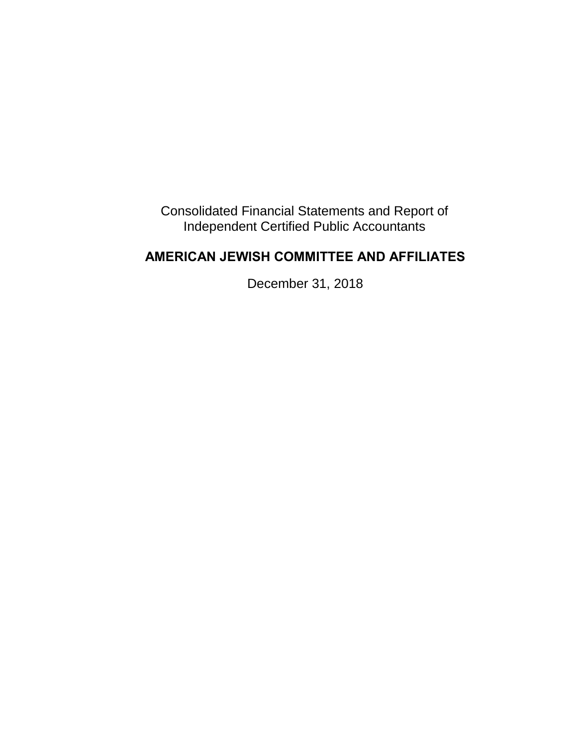Consolidated Financial Statements and Report of Independent Certified Public Accountants

# **AMERICAN JEWISH COMMITTEE AND AFFILIATES**

December 31, 2018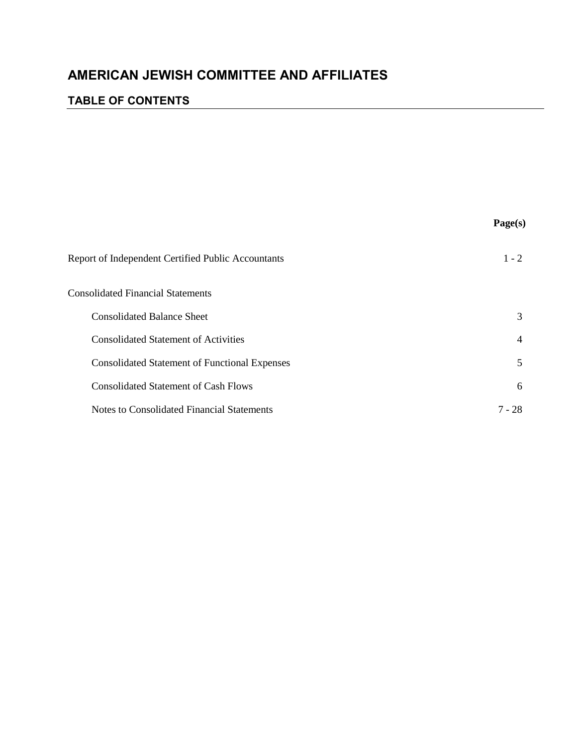# **TABLE OF CONTENTS**

|                                                      | Page(s)        |
|------------------------------------------------------|----------------|
| Report of Independent Certified Public Accountants   | $1 - 2$        |
| <b>Consolidated Financial Statements</b>             |                |
| <b>Consolidated Balance Sheet</b>                    | 3              |
| <b>Consolidated Statement of Activities</b>          | $\overline{4}$ |
| <b>Consolidated Statement of Functional Expenses</b> | 5              |
| <b>Consolidated Statement of Cash Flows</b>          | 6              |
| <b>Notes to Consolidated Financial Statements</b>    | 7 - 28         |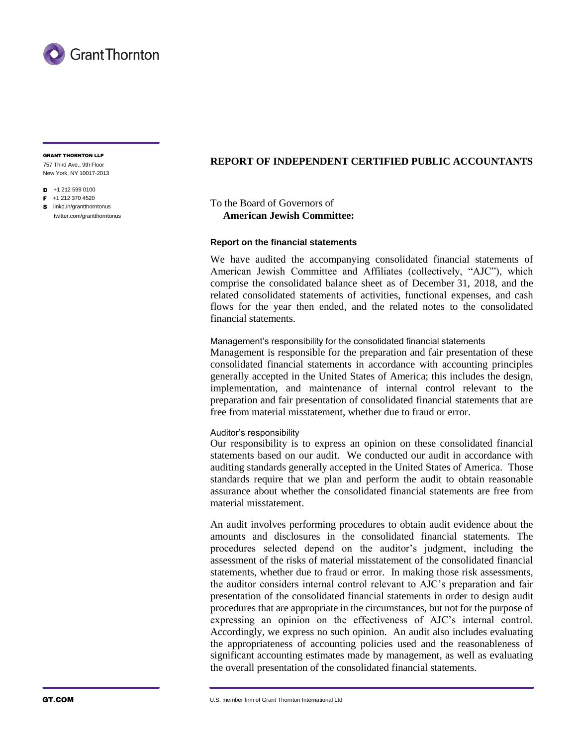

GRANT THORNTON LLP

757 Third Ave., 9th Floor New York, NY 10017-2013

 $\blacksquare$  +1 212 599 0100

F +1 212 370 4520

S linkd.in/grantthorntonus twitter.com/grantthorntonus

# **REPORT OF INDEPENDENT CERTIFIED PUBLIC ACCOUNTANTS**

To the Board of Governors of **American Jewish Committee:**

#### **Report on the financial statements**

We have audited the accompanying consolidated financial statements of American Jewish Committee and Affiliates (collectively, "AJC"), which comprise the consolidated balance sheet as of December 31, 2018, and the related consolidated statements of activities, functional expenses, and cash flows for the year then ended, and the related notes to the consolidated financial statements.

#### Management's responsibility for the consolidated financial statements

Management is responsible for the preparation and fair presentation of these consolidated financial statements in accordance with accounting principles generally accepted in the United States of America; this includes the design, implementation, and maintenance of internal control relevant to the preparation and fair presentation of consolidated financial statements that are free from material misstatement, whether due to fraud or error.

#### Auditor's responsibility

Our responsibility is to express an opinion on these consolidated financial statements based on our audit. We conducted our audit in accordance with auditing standards generally accepted in the United States of America. Those standards require that we plan and perform the audit to obtain reasonable assurance about whether the consolidated financial statements are free from material misstatement.

An audit involves performing procedures to obtain audit evidence about the amounts and disclosures in the consolidated financial statements. The procedures selected depend on the auditor's judgment, including the assessment of the risks of material misstatement of the consolidated financial statements, whether due to fraud or error. In making those risk assessments, the auditor considers internal control relevant to AJC's preparation and fair presentation of the consolidated financial statements in order to design audit procedures that are appropriate in the circumstances, but not for the purpose of expressing an opinion on the effectiveness of AJC's internal control. Accordingly, we express no such opinion. An audit also includes evaluating the appropriateness of accounting policies used and the reasonableness of significant accounting estimates made by management, as well as evaluating the overall presentation of the consolidated financial statements.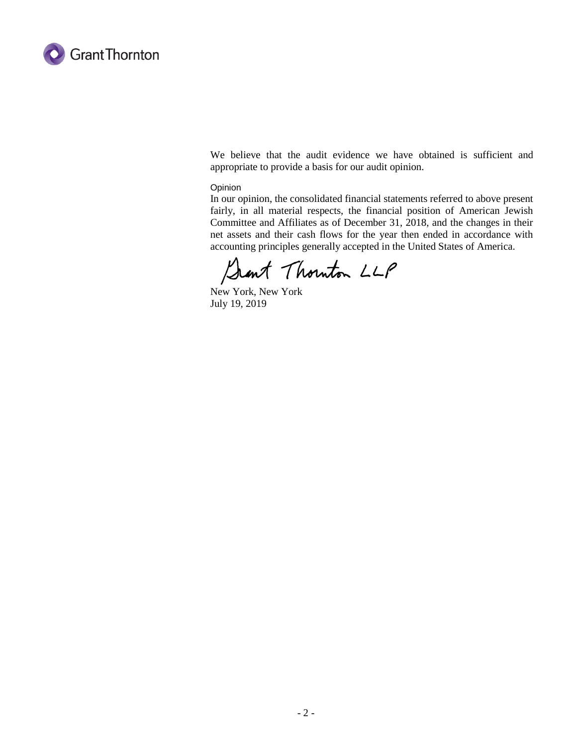

We believe that the audit evidence we have obtained is sufficient and appropriate to provide a basis for our audit opinion.

Opinion

In our opinion, the consolidated financial statements referred to above present fairly, in all material respects, the financial position of American Jewish Committee and Affiliates as of December 31, 2018, and the changes in their net assets and their cash flows for the year then ended in accordance with accounting principles generally accepted in the United States of America.

Sant Thouton LLP

New York, New York July 19, 2019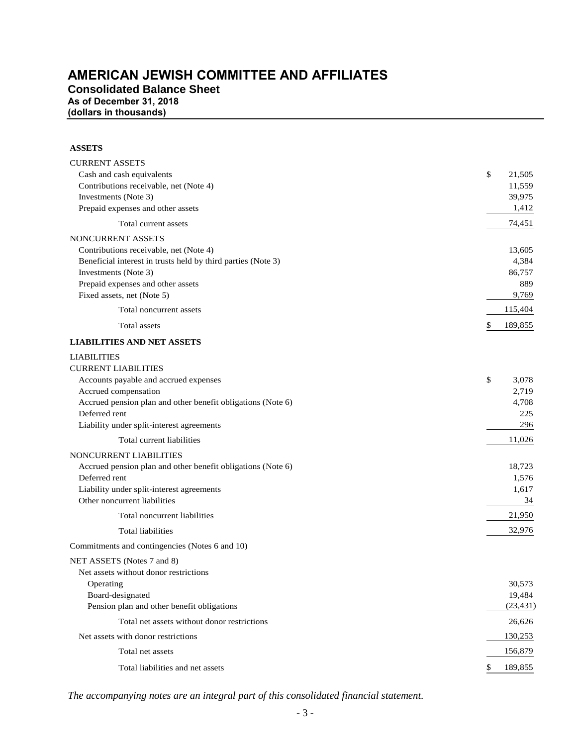# **AMERICAN JEWISH COMMITTEE AND AFFILIATES Consolidated Balance Sheet As of December 31, 2018 (dollars in thousands)**

# **ASSETS**

| <b>CURRENT ASSETS</b>                                        |               |
|--------------------------------------------------------------|---------------|
| Cash and cash equivalents                                    | \$<br>21,505  |
| Contributions receivable, net (Note 4)                       | 11,559        |
| Investments (Note 3)                                         | 39,975        |
| Prepaid expenses and other assets                            | 1,412         |
| Total current assets                                         | 74,451        |
| NONCURRENT ASSETS                                            |               |
| Contributions receivable, net (Note 4)                       | 13,605        |
| Beneficial interest in trusts held by third parties (Note 3) | 4,384         |
| Investments (Note 3)                                         | 86,757        |
| Prepaid expenses and other assets                            | 889           |
| Fixed assets, net (Note 5)                                   | 9,769         |
| Total noncurrent assets                                      | 115,404       |
| Total assets                                                 | 189,855<br>\$ |
| <b>LIABILITIES AND NET ASSETS</b>                            |               |
| <b>LIABILITIES</b>                                           |               |
| <b>CURRENT LIABILITIES</b>                                   |               |
| Accounts payable and accrued expenses                        | \$<br>3,078   |
| Accrued compensation                                         | 2,719         |
| Accrued pension plan and other benefit obligations (Note 6)  | 4,708         |
| Deferred rent                                                | 225           |
| Liability under split-interest agreements                    | 296           |
| Total current liabilities                                    | 11,026        |
| NONCURRENT LIABILITIES                                       |               |
| Accrued pension plan and other benefit obligations (Note 6)  | 18,723        |
| Deferred rent                                                | 1,576         |
| Liability under split-interest agreements                    | 1,617         |
| Other noncurrent liabilities                                 | 34            |
| Total noncurrent liabilities                                 | 21,950        |
| <b>Total liabilities</b>                                     | 32,976        |
| Commitments and contingencies (Notes 6 and 10)               |               |
| NET ASSETS (Notes 7 and 8)                                   |               |
| Net assets without donor restrictions                        |               |
| Operating                                                    | 30,573        |
| Board-designated                                             | 19,484        |
| Pension plan and other benefit obligations                   | (23, 431)     |
| Total net assets without donor restrictions                  | 26,626        |
| Net assets with donor restrictions                           | 130,253       |
| Total net assets                                             | 156,879       |
| Total liabilities and net assets                             | 189,855<br>\$ |
|                                                              |               |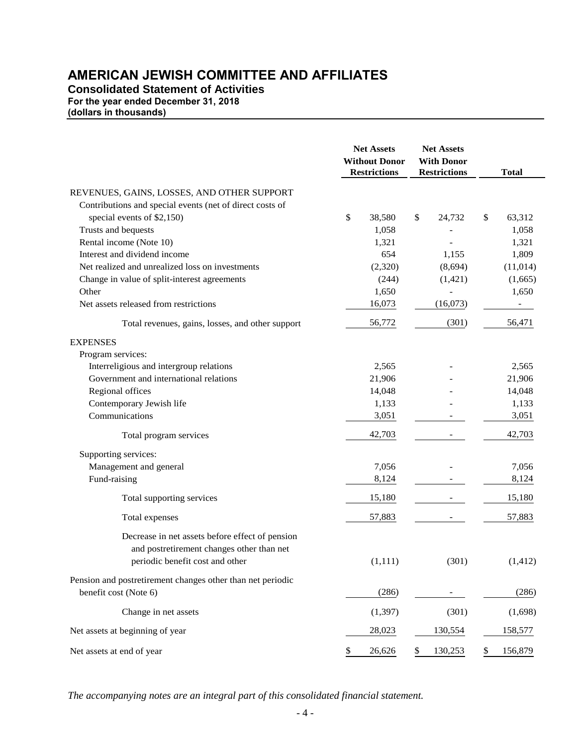**Consolidated Statement of Activities For the year ended December 31, 2018** 

**(dollars in thousands)**

|                                                                                                                                 | <b>Net Assets</b><br><b>Without Donor</b><br><b>Restrictions</b> |          | <b>Net Assets</b><br><b>With Donor</b><br><b>Restrictions</b> | <b>Total</b>  |
|---------------------------------------------------------------------------------------------------------------------------------|------------------------------------------------------------------|----------|---------------------------------------------------------------|---------------|
| REVENUES, GAINS, LOSSES, AND OTHER SUPPORT                                                                                      |                                                                  |          |                                                               |               |
| Contributions and special events (net of direct costs of                                                                        |                                                                  |          |                                                               |               |
| special events of \$2,150)                                                                                                      | \$                                                               | 38,580   | \$<br>24,732                                                  | \$<br>63,312  |
| Trusts and bequests                                                                                                             |                                                                  | 1,058    |                                                               | 1,058         |
| Rental income (Note 10)                                                                                                         |                                                                  | 1,321    |                                                               | 1,321         |
| Interest and dividend income                                                                                                    |                                                                  | 654      | 1,155                                                         | 1,809         |
| Net realized and unrealized loss on investments                                                                                 |                                                                  | (2,320)  | (8,694)                                                       | (11, 014)     |
| Change in value of split-interest agreements                                                                                    |                                                                  | (244)    | (1, 421)                                                      | (1,665)       |
| Other                                                                                                                           |                                                                  | 1,650    |                                                               | 1,650         |
| Net assets released from restrictions                                                                                           |                                                                  | 16,073   | (16,073)                                                      |               |
| Total revenues, gains, losses, and other support                                                                                |                                                                  | 56,772   | (301)                                                         | 56,471        |
| <b>EXPENSES</b>                                                                                                                 |                                                                  |          |                                                               |               |
| Program services:                                                                                                               |                                                                  |          |                                                               |               |
| Interreligious and intergroup relations                                                                                         |                                                                  | 2,565    |                                                               | 2,565         |
| Government and international relations                                                                                          |                                                                  | 21,906   |                                                               | 21,906        |
| Regional offices                                                                                                                |                                                                  | 14,048   |                                                               | 14,048        |
| Contemporary Jewish life                                                                                                        |                                                                  | 1,133    |                                                               | 1,133         |
| Communications                                                                                                                  |                                                                  | 3,051    |                                                               | 3,051         |
| Total program services                                                                                                          |                                                                  | 42,703   |                                                               | 42,703        |
| Supporting services:                                                                                                            |                                                                  |          |                                                               |               |
| Management and general                                                                                                          |                                                                  | 7,056    |                                                               | 7,056         |
| Fund-raising                                                                                                                    |                                                                  | 8,124    |                                                               | 8,124         |
| Total supporting services                                                                                                       |                                                                  | 15,180   |                                                               | 15,180        |
| Total expenses                                                                                                                  |                                                                  | 57,883   |                                                               | 57,883        |
| Decrease in net assets before effect of pension<br>and postretirement changes other than net<br>periodic benefit cost and other |                                                                  | (1,111)  | (301)                                                         | (1, 412)      |
| Pension and postretirement changes other than net periodic                                                                      |                                                                  |          |                                                               |               |
| benefit cost (Note 6)                                                                                                           |                                                                  | (286)    |                                                               | (286)         |
| Change in net assets                                                                                                            |                                                                  | (1, 397) | (301)                                                         | (1,698)       |
| Net assets at beginning of year                                                                                                 |                                                                  | 28,023   | 130,554                                                       | 158,577       |
| Net assets at end of year                                                                                                       | \$                                                               | 26,626   | \$<br>130,253                                                 | \$<br>156,879 |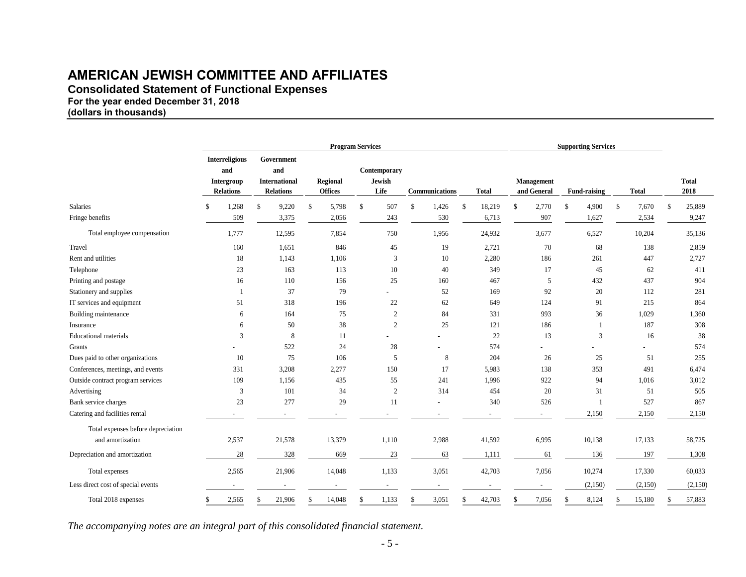**Consolidated Statement of Functional Expenses**

**For the year ended December 31, 2018**

**(dollars in thousands)**

|                                    | <b>Program Services</b> |                                                         |              |                                                               |              |                                   |    |                                |              | <b>Supporting Services</b> |              |    |                           |    |                     |    |              |                      |
|------------------------------------|-------------------------|---------------------------------------------------------|--------------|---------------------------------------------------------------|--------------|-----------------------------------|----|--------------------------------|--------------|----------------------------|--------------|----|---------------------------|----|---------------------|----|--------------|----------------------|
|                                    |                         | Interreligious<br>and<br>Intergroup<br><b>Relations</b> |              | Government<br>and<br><b>International</b><br><b>Relations</b> |              | <b>Regional</b><br><b>Offices</b> |    | Contemporary<br>Jewish<br>Life |              | Communications             | <b>Total</b> |    | Management<br>and General |    | <b>Fund-raising</b> |    | <b>Total</b> | <b>Total</b><br>2018 |
| Salaries                           | \$                      | 1,268                                                   | $\mathbb{S}$ | 9,220                                                         | $\mathbb{S}$ | 5,798                             | \$ | 507                            | $\mathbb{S}$ | 1,426                      | \$<br>18,219 | \$ | 2,770                     | \$ | 4,900               | \$ | 7,670        | \$<br>25,889         |
| Fringe benefits                    |                         | 509                                                     |              | 3,375                                                         |              | 2,056                             |    | 243                            |              | 530                        | 6,713        |    | 907                       |    | 1,627               |    | 2,534        | 9,247                |
| Total employee compensation        |                         | 1,777                                                   |              | 12,595                                                        |              | 7,854                             |    | 750                            |              | 1,956                      | 24,932       |    | 3,677                     |    | 6,527               |    | 10,204       | 35,136               |
| Travel                             |                         | 160                                                     |              | 1,651                                                         |              | 846                               |    | 45                             |              | 19                         | 2,721        |    | 70                        |    | 68                  |    | 138          | 2,859                |
| Rent and utilities                 |                         | 18                                                      |              | 1,143                                                         |              | 1,106                             |    | 3                              |              | 10                         | 2,280        |    | 186                       |    | 261                 |    | 447          | 2,727                |
| Telephone                          |                         | 23                                                      |              | 163                                                           |              | 113                               |    | 10                             |              | 40                         | 349          |    | 17                        |    | 45                  |    | 62           | 411                  |
| Printing and postage               |                         | 16                                                      |              | 110                                                           |              | 156                               |    | 25                             |              | 160                        | 467          |    | 5                         |    | 432                 |    | 437          | 904                  |
| Stationery and supplies            |                         | $\overline{1}$                                          |              | 37                                                            |              | 79                                |    |                                |              | 52                         | 169          |    | 92                        |    | 20                  |    | 112          | 281                  |
| IT services and equipment          |                         | 51                                                      |              | 318                                                           |              | 196                               |    | 22                             |              | 62                         | 649          |    | 124                       |    | 91                  |    | 215          | 864                  |
| Building maintenance               |                         | 6                                                       |              | 164                                                           |              | 75                                |    | $\sqrt{2}$                     |              | 84                         | 331          |    | 993                       |    | 36                  |    | 1,029        | 1,360                |
| Insurance                          |                         | 6                                                       |              | 50                                                            |              | 38                                |    | $\overline{2}$                 |              | 25                         | 121          |    | 186                       |    | 1                   |    | 187          | 308                  |
| <b>Educational</b> materials       |                         | 3                                                       |              | 8                                                             |              | 11                                |    |                                |              |                            | 22           |    | 13                        |    | 3                   |    | 16           | 38                   |
| Grants                             |                         |                                                         |              | 522                                                           |              | 24                                |    | 28                             |              |                            | 574          |    |                           |    |                     |    |              | 574                  |
| Dues paid to other organizations   |                         | 10                                                      |              | 75                                                            |              | 106                               |    | 5                              |              | 8                          | 204          |    | 26                        |    | 25                  |    | 51           | 255                  |
| Conferences, meetings, and events  |                         | 331                                                     |              | 3,208                                                         |              | 2,277                             |    | 150                            |              | 17                         | 5,983        |    | 138                       |    | 353                 |    | 491          | 6,474                |
| Outside contract program services  |                         | 109                                                     |              | 1,156                                                         |              | 435                               |    | 55                             |              | 241                        | 1,996        |    | 922                       |    | 94                  |    | 1,016        | 3,012                |
| Advertising                        |                         | 3                                                       |              | 101                                                           |              | 34                                |    | $\boldsymbol{2}$               |              | 314                        | 454          |    | 20                        |    | 31                  |    | 51           | 505                  |
| Bank service charges               |                         | 23                                                      |              | 277                                                           |              | 29                                |    | 11                             |              |                            | 340          |    | 526                       |    |                     |    | 527          | 867                  |
| Catering and facilities rental     |                         |                                                         |              |                                                               |              |                                   |    |                                |              |                            |              |    |                           |    | 2,150               |    | 2,150        | 2,150                |
| Total expenses before depreciation |                         |                                                         |              |                                                               |              |                                   |    |                                |              |                            |              |    |                           |    |                     |    |              |                      |
| and amortization                   |                         | 2,537                                                   |              | 21,578                                                        |              | 13,379                            |    | 1,110                          |              | 2,988                      | 41,592       |    | 6,995                     |    | 10,138              |    | 17,133       | 58,725               |
| Depreciation and amortization      |                         | 28                                                      |              | 328                                                           |              | 669                               |    | 23                             |              | 63                         | 1,111        |    | 61                        |    | 136                 |    | 197          | 1,308                |
| Total expenses                     |                         | 2,565                                                   |              | 21,906                                                        |              | 14,048                            |    | 1,133                          |              | 3,051                      | 42,703       |    | 7,056                     |    | 10,274              |    | 17,330       | 60,033               |
| Less direct cost of special events |                         |                                                         |              |                                                               |              |                                   |    |                                |              |                            |              |    |                           |    | (2,150)             |    | (2,150)      | (2,150)              |
| Total 2018 expenses                |                         | 2,565                                                   |              | 21,906                                                        | £.           | 14,048                            | £. | 1,133                          | -S           | 3,051                      | 42,703       | £. | 7,056                     |    | 8,124               | S. | 15,180       | 57,883               |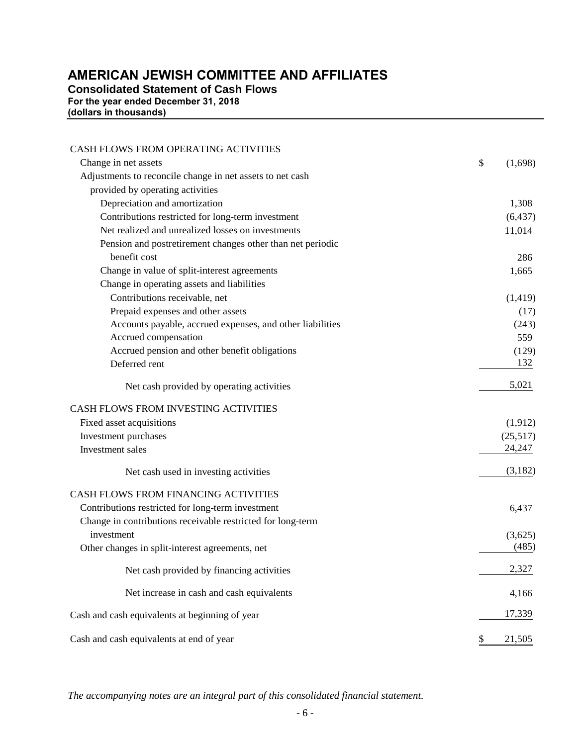**Consolidated Statement of Cash Flows For the year ended December 31, 2018 (dollars in thousands)**

| CASH FLOWS FROM OPERATING ACTIVITIES                        |               |
|-------------------------------------------------------------|---------------|
| Change in net assets                                        | \$<br>(1,698) |
| Adjustments to reconcile change in net assets to net cash   |               |
| provided by operating activities                            |               |
| Depreciation and amortization                               | 1,308         |
| Contributions restricted for long-term investment           | (6, 437)      |
| Net realized and unrealized losses on investments           | 11,014        |
| Pension and postretirement changes other than net periodic  |               |
| benefit cost                                                | 286           |
| Change in value of split-interest agreements                | 1,665         |
| Change in operating assets and liabilities                  |               |
| Contributions receivable, net                               | (1,419)       |
| Prepaid expenses and other assets                           | (17)          |
| Accounts payable, accrued expenses, and other liabilities   | (243)         |
| Accrued compensation                                        | 559           |
| Accrued pension and other benefit obligations               | (129)         |
| Deferred rent                                               | 132           |
| Net cash provided by operating activities                   | 5,021         |
| CASH FLOWS FROM INVESTING ACTIVITIES                        |               |
| Fixed asset acquisitions                                    | (1,912)       |
| Investment purchases                                        | (25,517)      |
| Investment sales                                            | 24,247        |
| Net cash used in investing activities                       | (3,182)       |
| <b>CASH FLOWS FROM FINANCING ACTIVITIES</b>                 |               |
| Contributions restricted for long-term investment           | 6,437         |
| Change in contributions receivable restricted for long-term |               |
| investment                                                  | (3,625)       |
| Other changes in split-interest agreements, net             | (485)         |
| Net cash provided by financing activities                   | 2,327         |
| Net increase in cash and cash equivalents                   | 4,166         |
| Cash and cash equivalents at beginning of year              | 17,339        |
| Cash and cash equivalents at end of year                    | 21,505<br>\$  |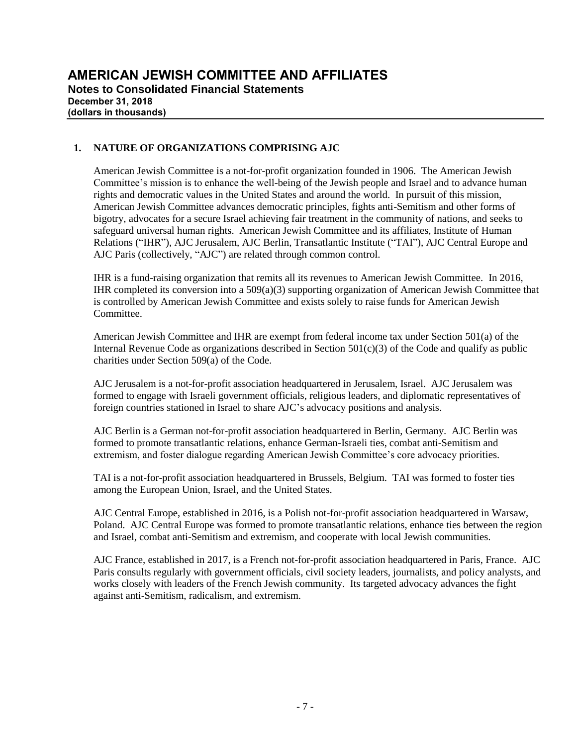# **1. NATURE OF ORGANIZATIONS COMPRISING AJC**

American Jewish Committee is a not-for-profit organization founded in 1906. The American Jewish Committee's mission is to enhance the well-being of the Jewish people and Israel and to advance human rights and democratic values in the United States and around the world. In pursuit of this mission, American Jewish Committee advances democratic principles, fights anti-Semitism and other forms of bigotry, advocates for a secure Israel achieving fair treatment in the community of nations, and seeks to safeguard universal human rights. American Jewish Committee and its affiliates, Institute of Human Relations ("IHR"), AJC Jerusalem, AJC Berlin, Transatlantic Institute ("TAI"), AJC Central Europe and AJC Paris (collectively, "AJC") are related through common control.

IHR is a fund-raising organization that remits all its revenues to American Jewish Committee. In 2016, IHR completed its conversion into a 509(a)(3) supporting organization of American Jewish Committee that is controlled by American Jewish Committee and exists solely to raise funds for American Jewish Committee.

American Jewish Committee and IHR are exempt from federal income tax under Section 501(a) of the Internal Revenue Code as organizations described in Section  $501(c)(3)$  of the Code and qualify as public charities under Section 509(a) of the Code.

AJC Jerusalem is a not-for-profit association headquartered in Jerusalem, Israel. AJC Jerusalem was formed to engage with Israeli government officials, religious leaders, and diplomatic representatives of foreign countries stationed in Israel to share AJC's advocacy positions and analysis.

AJC Berlin is a German not-for-profit association headquartered in Berlin, Germany. AJC Berlin was formed to promote transatlantic relations, enhance German-Israeli ties, combat anti-Semitism and extremism, and foster dialogue regarding American Jewish Committee's core advocacy priorities.

TAI is a not-for-profit association headquartered in Brussels, Belgium. TAI was formed to foster ties among the European Union, Israel, and the United States.

AJC Central Europe, established in 2016, is a Polish not-for-profit association headquartered in Warsaw, Poland. AJC Central Europe was formed to promote transatlantic relations, enhance ties between the region and Israel, combat anti-Semitism and extremism, and cooperate with local Jewish communities.

AJC France, established in 2017, is a French not-for-profit association headquartered in Paris, France. AJC Paris consults regularly with government officials, civil society leaders, journalists, and policy analysts, and works closely with leaders of the French Jewish community. Its targeted advocacy advances the fight against anti-Semitism, radicalism, and extremism.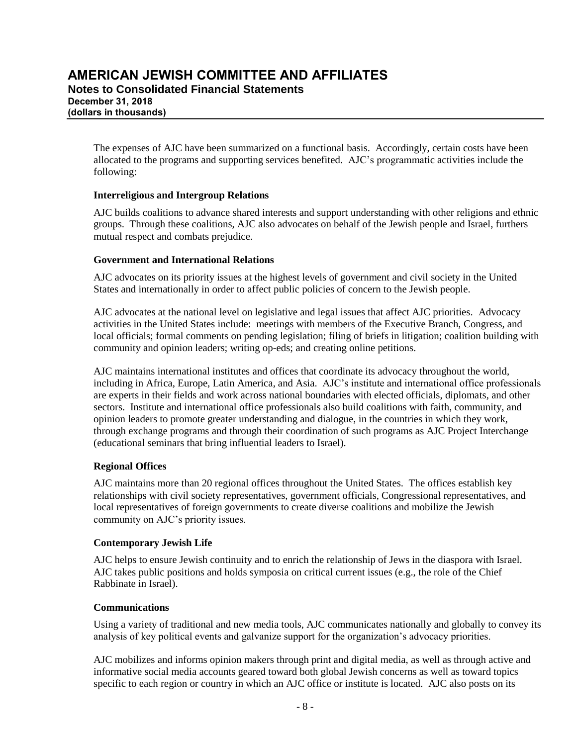The expenses of AJC have been summarized on a functional basis. Accordingly, certain costs have been allocated to the programs and supporting services benefited. AJC's programmatic activities include the following:

# **Interreligious and Intergroup Relations**

AJC builds coalitions to advance shared interests and support understanding with other religions and ethnic groups. Through these coalitions, AJC also advocates on behalf of the Jewish people and Israel, furthers mutual respect and combats prejudice.

### **Government and International Relations**

AJC advocates on its priority issues at the highest levels of government and civil society in the United States and internationally in order to affect public policies of concern to the Jewish people.

AJC advocates at the national level on legislative and legal issues that affect AJC priorities. Advocacy activities in the United States include: meetings with members of the Executive Branch, Congress, and local officials; formal comments on pending legislation; filing of briefs in litigation; coalition building with community and opinion leaders; writing op-eds; and creating online petitions.

AJC maintains international institutes and offices that coordinate its advocacy throughout the world, including in Africa, Europe, Latin America, and Asia. AJC's institute and international office professionals are experts in their fields and work across national boundaries with elected officials, diplomats, and other sectors. Institute and international office professionals also build coalitions with faith, community, and opinion leaders to promote greater understanding and dialogue, in the countries in which they work, through exchange programs and through their coordination of such programs as AJC Project Interchange (educational seminars that bring influential leaders to Israel).

# **Regional Offices**

AJC maintains more than 20 regional offices throughout the United States. The offices establish key relationships with civil society representatives, government officials, Congressional representatives, and local representatives of foreign governments to create diverse coalitions and mobilize the Jewish community on AJC's priority issues.

### **Contemporary Jewish Life**

AJC helps to ensure Jewish continuity and to enrich the relationship of Jews in the diaspora with Israel. AJC takes public positions and holds symposia on critical current issues (e.g., the role of the Chief Rabbinate in Israel).

### **Communications**

Using a variety of traditional and new media tools, AJC communicates nationally and globally to convey its analysis of key political events and galvanize support for the organization's advocacy priorities.

AJC mobilizes and informs opinion makers through print and digital media, as well as through active and informative social media accounts geared toward both global Jewish concerns as well as toward topics specific to each region or country in which an AJC office or institute is located. AJC also posts on its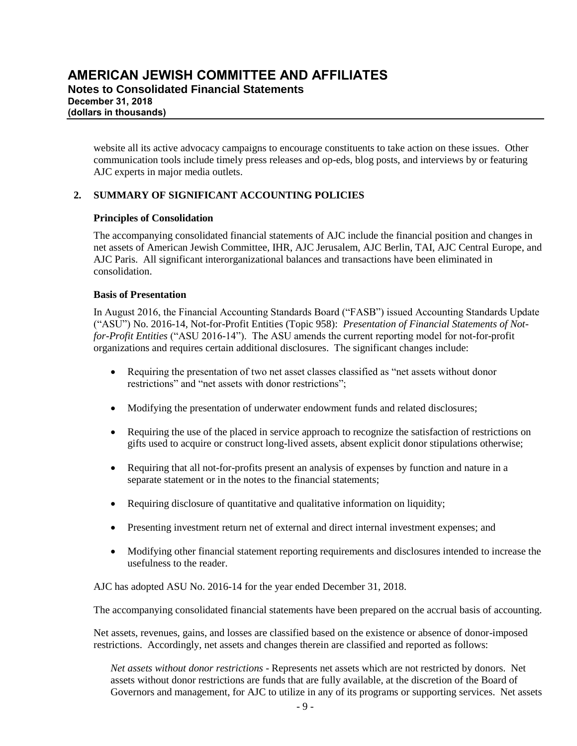website all its active advocacy campaigns to encourage constituents to take action on these issues. Other communication tools include timely press releases and op-eds, blog posts, and interviews by or featuring AJC experts in major media outlets.

# **2. SUMMARY OF SIGNIFICANT ACCOUNTING POLICIES**

### **Principles of Consolidation**

The accompanying consolidated financial statements of AJC include the financial position and changes in net assets of American Jewish Committee, IHR, AJC Jerusalem, AJC Berlin, TAI, AJC Central Europe, and AJC Paris. All significant interorganizational balances and transactions have been eliminated in consolidation.

# **Basis of Presentation**

In August 2016, the Financial Accounting Standards Board ("FASB") issued Accounting Standards Update ("ASU") No. 2016-14, Not-for-Profit Entities (Topic 958): *Presentation of Financial Statements of Notfor-Profit Entities* ("ASU 2016-14"). The ASU amends the current reporting model for not-for-profit organizations and requires certain additional disclosures. The significant changes include:

- Requiring the presentation of two net asset classes classified as "net assets without donor restrictions" and "net assets with donor restrictions";
- Modifying the presentation of underwater endowment funds and related disclosures;
- Requiring the use of the placed in service approach to recognize the satisfaction of restrictions on gifts used to acquire or construct long-lived assets, absent explicit donor stipulations otherwise;
- Requiring that all not-for-profits present an analysis of expenses by function and nature in a separate statement or in the notes to the financial statements;
- Requiring disclosure of quantitative and qualitative information on liquidity;
- Presenting investment return net of external and direct internal investment expenses; and
- Modifying other financial statement reporting requirements and disclosures intended to increase the usefulness to the reader.

AJC has adopted ASU No. 2016-14 for the year ended December 31, 2018.

The accompanying consolidated financial statements have been prepared on the accrual basis of accounting.

Net assets, revenues, gains, and losses are classified based on the existence or absence of donor-imposed restrictions. Accordingly, net assets and changes therein are classified and reported as follows:

*Net assets without donor restrictions* - Represents net assets which are not restricted by donors. Net assets without donor restrictions are funds that are fully available, at the discretion of the Board of Governors and management, for AJC to utilize in any of its programs or supporting services. Net assets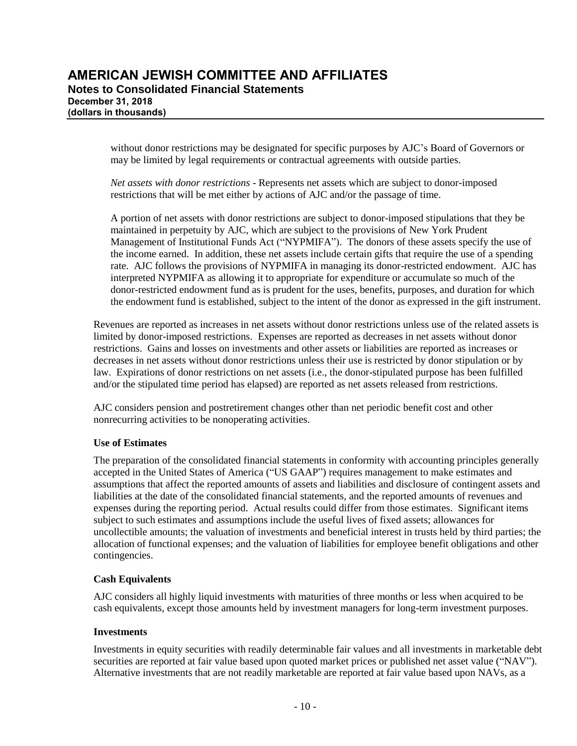without donor restrictions may be designated for specific purposes by AJC's Board of Governors or may be limited by legal requirements or contractual agreements with outside parties.

*Net assets with donor restrictions* - Represents net assets which are subject to donor-imposed restrictions that will be met either by actions of AJC and/or the passage of time.

A portion of net assets with donor restrictions are subject to donor-imposed stipulations that they be maintained in perpetuity by AJC, which are subject to the provisions of New York Prudent Management of Institutional Funds Act ("NYPMIFA"). The donors of these assets specify the use of the income earned. In addition, these net assets include certain gifts that require the use of a spending rate. AJC follows the provisions of NYPMIFA in managing its donor-restricted endowment. AJC has interpreted NYPMIFA as allowing it to appropriate for expenditure or accumulate so much of the donor-restricted endowment fund as is prudent for the uses, benefits, purposes, and duration for which the endowment fund is established, subject to the intent of the donor as expressed in the gift instrument.

Revenues are reported as increases in net assets without donor restrictions unless use of the related assets is limited by donor-imposed restrictions. Expenses are reported as decreases in net assets without donor restrictions. Gains and losses on investments and other assets or liabilities are reported as increases or decreases in net assets without donor restrictions unless their use is restricted by donor stipulation or by law. Expirations of donor restrictions on net assets (i.e., the donor-stipulated purpose has been fulfilled and/or the stipulated time period has elapsed) are reported as net assets released from restrictions.

AJC considers pension and postretirement changes other than net periodic benefit cost and other nonrecurring activities to be nonoperating activities.

### **Use of Estimates**

The preparation of the consolidated financial statements in conformity with accounting principles generally accepted in the United States of America ("US GAAP") requires management to make estimates and assumptions that affect the reported amounts of assets and liabilities and disclosure of contingent assets and liabilities at the date of the consolidated financial statements, and the reported amounts of revenues and expenses during the reporting period. Actual results could differ from those estimates. Significant items subject to such estimates and assumptions include the useful lives of fixed assets; allowances for uncollectible amounts; the valuation of investments and beneficial interest in trusts held by third parties; the allocation of functional expenses; and the valuation of liabilities for employee benefit obligations and other contingencies.

### **Cash Equivalents**

AJC considers all highly liquid investments with maturities of three months or less when acquired to be cash equivalents, except those amounts held by investment managers for long-term investment purposes.

### **Investments**

Investments in equity securities with readily determinable fair values and all investments in marketable debt securities are reported at fair value based upon quoted market prices or published net asset value ("NAV"). Alternative investments that are not readily marketable are reported at fair value based upon NAVs, as a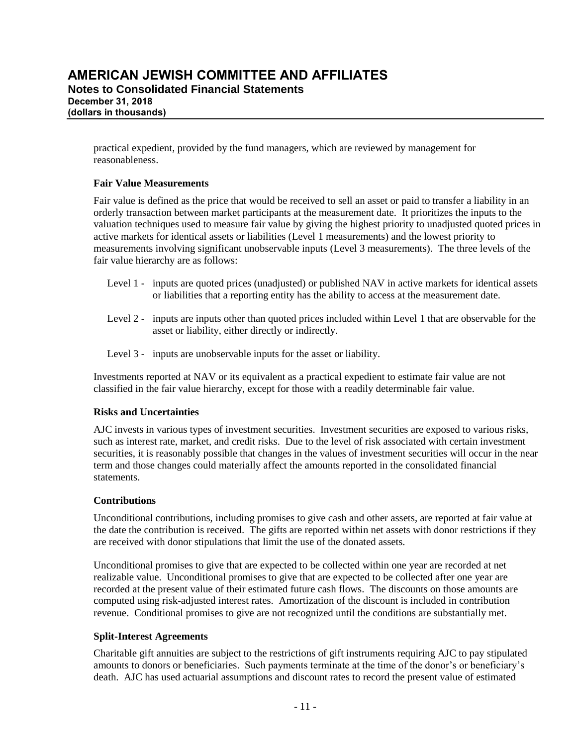practical expedient, provided by the fund managers, which are reviewed by management for reasonableness.

#### **Fair Value Measurements**

Fair value is defined as the price that would be received to sell an asset or paid to transfer a liability in an orderly transaction between market participants at the measurement date. It prioritizes the inputs to the valuation techniques used to measure fair value by giving the highest priority to unadjusted quoted prices in active markets for identical assets or liabilities (Level 1 measurements) and the lowest priority to measurements involving significant unobservable inputs (Level 3 measurements). The three levels of the fair value hierarchy are as follows:

- Level 1 inputs are quoted prices (unadjusted) or published NAV in active markets for identical assets or liabilities that a reporting entity has the ability to access at the measurement date.
- Level 2 inputs are inputs other than quoted prices included within Level 1 that are observable for the asset or liability, either directly or indirectly.
- Level 3 inputs are unobservable inputs for the asset or liability.

Investments reported at NAV or its equivalent as a practical expedient to estimate fair value are not classified in the fair value hierarchy, except for those with a readily determinable fair value.

### **Risks and Uncertainties**

AJC invests in various types of investment securities. Investment securities are exposed to various risks, such as interest rate, market, and credit risks. Due to the level of risk associated with certain investment securities, it is reasonably possible that changes in the values of investment securities will occur in the near term and those changes could materially affect the amounts reported in the consolidated financial statements.

### **Contributions**

Unconditional contributions, including promises to give cash and other assets, are reported at fair value at the date the contribution is received. The gifts are reported within net assets with donor restrictions if they are received with donor stipulations that limit the use of the donated assets.

Unconditional promises to give that are expected to be collected within one year are recorded at net realizable value. Unconditional promises to give that are expected to be collected after one year are recorded at the present value of their estimated future cash flows. The discounts on those amounts are computed using risk-adjusted interest rates. Amortization of the discount is included in contribution revenue. Conditional promises to give are not recognized until the conditions are substantially met.

#### **Split-Interest Agreements**

Charitable gift annuities are subject to the restrictions of gift instruments requiring AJC to pay stipulated amounts to donors or beneficiaries. Such payments terminate at the time of the donor's or beneficiary's death. AJC has used actuarial assumptions and discount rates to record the present value of estimated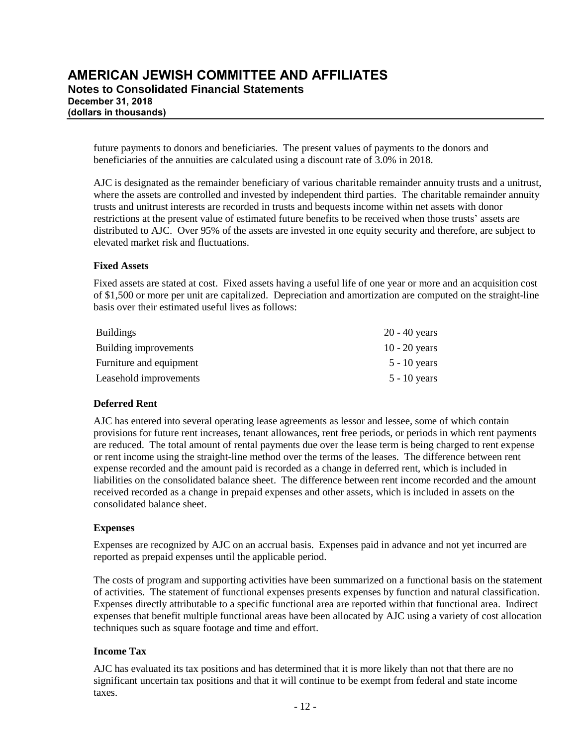future payments to donors and beneficiaries. The present values of payments to the donors and beneficiaries of the annuities are calculated using a discount rate of 3.0% in 2018.

AJC is designated as the remainder beneficiary of various charitable remainder annuity trusts and a unitrust, where the assets are controlled and invested by independent third parties. The charitable remainder annuity trusts and unitrust interests are recorded in trusts and bequests income within net assets with donor restrictions at the present value of estimated future benefits to be received when those trusts' assets are distributed to AJC. Over 95% of the assets are invested in one equity security and therefore, are subject to elevated market risk and fluctuations.

### **Fixed Assets**

Fixed assets are stated at cost. Fixed assets having a useful life of one year or more and an acquisition cost of \$1,500 or more per unit are capitalized. Depreciation and amortization are computed on the straight-line basis over their estimated useful lives as follows:

| <b>Buildings</b>        | $20 - 40$ years |
|-------------------------|-----------------|
| Building improvements   | $10 - 20$ years |
| Furniture and equipment | $5 - 10$ years  |
| Leasehold improvements  | $5 - 10$ years  |

### **Deferred Rent**

AJC has entered into several operating lease agreements as lessor and lessee, some of which contain provisions for future rent increases, tenant allowances, rent free periods, or periods in which rent payments are reduced. The total amount of rental payments due over the lease term is being charged to rent expense or rent income using the straight-line method over the terms of the leases. The difference between rent expense recorded and the amount paid is recorded as a change in deferred rent, which is included in liabilities on the consolidated balance sheet. The difference between rent income recorded and the amount received recorded as a change in prepaid expenses and other assets, which is included in assets on the consolidated balance sheet.

### **Expenses**

Expenses are recognized by AJC on an accrual basis. Expenses paid in advance and not yet incurred are reported as prepaid expenses until the applicable period.

The costs of program and supporting activities have been summarized on a functional basis on the statement of activities. The statement of functional expenses presents expenses by function and natural classification. Expenses directly attributable to a specific functional area are reported within that functional area. Indirect expenses that benefit multiple functional areas have been allocated by AJC using a variety of cost allocation techniques such as square footage and time and effort.

### **Income Tax**

AJC has evaluated its tax positions and has determined that it is more likely than not that there are no significant uncertain tax positions and that it will continue to be exempt from federal and state income taxes.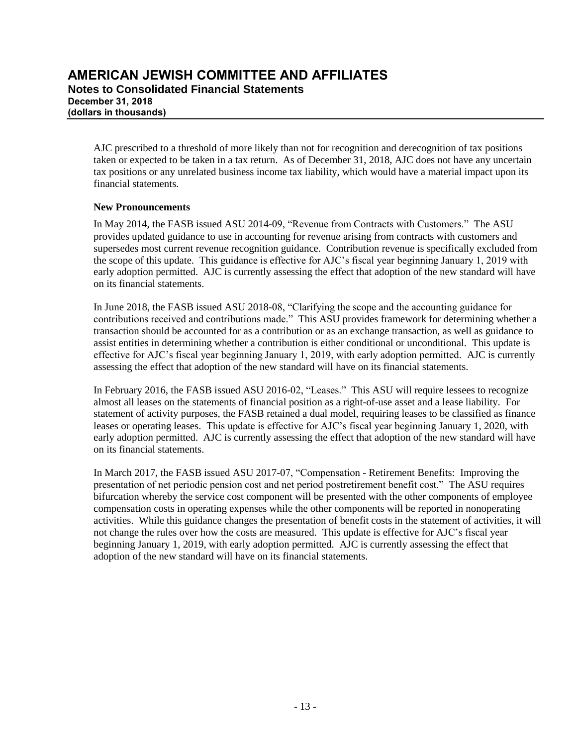AJC prescribed to a threshold of more likely than not for recognition and derecognition of tax positions taken or expected to be taken in a tax return. As of December 31, 2018, AJC does not have any uncertain tax positions or any unrelated business income tax liability, which would have a material impact upon its financial statements.

### **New Pronouncements**

In May 2014, the FASB issued ASU 2014-09, "Revenue from Contracts with Customers." The ASU provides updated guidance to use in accounting for revenue arising from contracts with customers and supersedes most current revenue recognition guidance. Contribution revenue is specifically excluded from the scope of this update. This guidance is effective for AJC's fiscal year beginning January 1, 2019 with early adoption permitted. AJC is currently assessing the effect that adoption of the new standard will have on its financial statements.

In June 2018, the FASB issued ASU 2018-08, "Clarifying the scope and the accounting guidance for contributions received and contributions made." This ASU provides framework for determining whether a transaction should be accounted for as a contribution or as an exchange transaction, as well as guidance to assist entities in determining whether a contribution is either conditional or unconditional. This update is effective for AJC's fiscal year beginning January 1, 2019, with early adoption permitted. AJC is currently assessing the effect that adoption of the new standard will have on its financial statements.

In February 2016, the FASB issued ASU 2016-02, "Leases." This ASU will require lessees to recognize almost all leases on the statements of financial position as a right-of-use asset and a lease liability. For statement of activity purposes, the FASB retained a dual model, requiring leases to be classified as finance leases or operating leases. This update is effective for AJC's fiscal year beginning January 1, 2020, with early adoption permitted. AJC is currently assessing the effect that adoption of the new standard will have on its financial statements.

In March 2017, the FASB issued ASU 2017-07, "Compensation - Retirement Benefits: Improving the presentation of net periodic pension cost and net period postretirement benefit cost." The ASU requires bifurcation whereby the service cost component will be presented with the other components of employee compensation costs in operating expenses while the other components will be reported in nonoperating activities. While this guidance changes the presentation of benefit costs in the statement of activities, it will not change the rules over how the costs are measured. This update is effective for AJC's fiscal year beginning January 1, 2019, with early adoption permitted. AJC is currently assessing the effect that adoption of the new standard will have on its financial statements.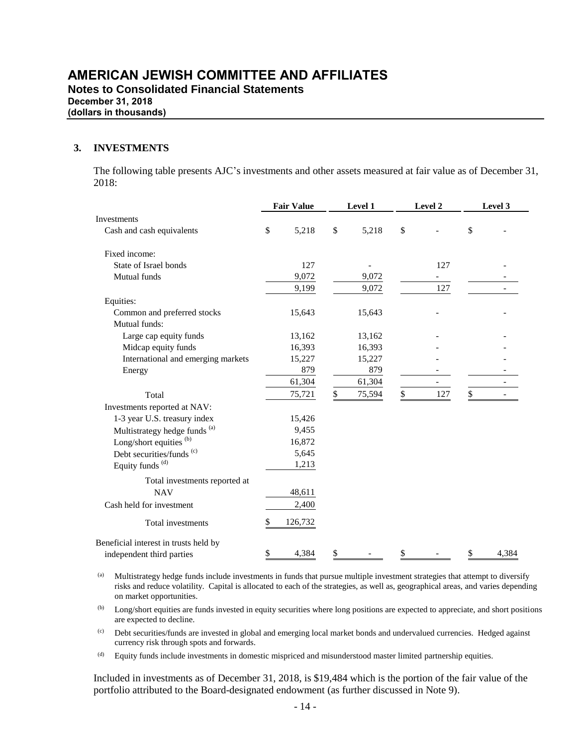# **3. INVESTMENTS**

The following table presents AJC's investments and other assets measured at fair value as of December 31, 2018:

|                                          |    | <b>Fair Value</b> | Level 1       | Level 2   | Level 3 |       |
|------------------------------------------|----|-------------------|---------------|-----------|---------|-------|
| Investments                              |    |                   |               |           |         |       |
| Cash and cash equivalents                | \$ | 5,218             | \$<br>5,218   | \$        | \$      |       |
| Fixed income:                            |    |                   |               |           |         |       |
| State of Israel bonds                    |    | 127               |               | 127       |         |       |
| Mutual funds                             |    | 9,072             | 9,072         |           |         |       |
| Equities:                                |    | 9,199             | 9,072         | 127       |         |       |
| Common and preferred stocks              |    | 15,643            | 15,643        |           |         |       |
| Mutual funds:                            |    |                   |               |           |         |       |
| Large cap equity funds                   |    | 13,162            | 13,162        |           |         |       |
| Midcap equity funds                      |    | 16,393            | 16,393        |           |         |       |
| International and emerging markets       |    | 15,227<br>879     | 15,227<br>879 |           |         |       |
| Energy                                   |    | 61,304            |               |           |         |       |
|                                          |    |                   | 61,304        |           |         |       |
| Total                                    |    | 75,721            | \$<br>75,594  | \$<br>127 | \$      |       |
| Investments reported at NAV:             |    |                   |               |           |         |       |
| 1-3 year U.S. treasury index             |    | 15,426            |               |           |         |       |
| Multistrategy hedge funds <sup>(a)</sup> |    | 9,455             |               |           |         |       |
| Long/short equities (b)                  |    | 16,872            |               |           |         |       |
| Debt securities/funds <sup>(c)</sup>     |    | 5,645             |               |           |         |       |
| Equity funds <sup>(d)</sup>              |    | 1,213             |               |           |         |       |
| Total investments reported at            |    |                   |               |           |         |       |
| <b>NAV</b>                               |    | 48,611            |               |           |         |       |
| Cash held for investment                 |    | 2,400             |               |           |         |       |
| Total investments                        | \$ | 126,732           |               |           |         |       |
| Beneficial interest in trusts held by    |    |                   |               |           |         |       |
| independent third parties                | \$ | 4,384             | \$            | \$        | \$      | 4,384 |

(a) Multistrategy hedge funds include investments in funds that pursue multiple investment strategies that attempt to diversify risks and reduce volatility. Capital is allocated to each of the strategies, as well as, geographical areas, and varies depending on market opportunities.

(b) Long/short equities are funds invested in equity securities where long positions are expected to appreciate, and short positions are expected to decline.

(c) Debt securities/funds are invested in global and emerging local market bonds and undervalued currencies. Hedged against currency risk through spots and forwards.

(d) Equity funds include investments in domestic mispriced and misunderstood master limited partnership equities.

Included in investments as of December 31, 2018, is \$19,484 which is the portion of the fair value of the portfolio attributed to the Board-designated endowment (as further discussed in Note 9).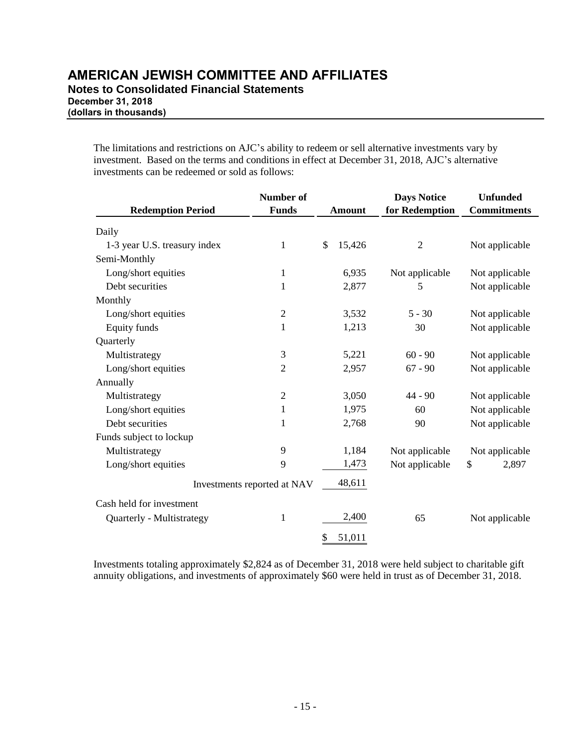The limitations and restrictions on AJC's ability to redeem or sell alternative investments vary by investment. Based on the terms and conditions in effect at December 31, 2018, AJC's alternative investments can be redeemed or sold as follows:

|                              | Number of                   |               | <b>Days Notice</b> | <b>Unfunded</b>    |
|------------------------------|-----------------------------|---------------|--------------------|--------------------|
| <b>Redemption Period</b>     | <b>Funds</b>                | <b>Amount</b> | for Redemption     | <b>Commitments</b> |
| Daily                        |                             |               |                    |                    |
| 1-3 year U.S. treasury index | 1                           | \$<br>15,426  | 2                  | Not applicable     |
| Semi-Monthly                 |                             |               |                    |                    |
| Long/short equities          | $\mathbf{1}$                | 6,935         | Not applicable     | Not applicable     |
| Debt securities              | 1                           | 2,877         | 5                  | Not applicable     |
| Monthly                      |                             |               |                    |                    |
| Long/short equities          | $\overline{2}$              | 3,532         | $5 - 30$           | Not applicable     |
| Equity funds                 | 1                           | 1,213         | 30                 | Not applicable     |
| Quarterly                    |                             |               |                    |                    |
| Multistrategy                | 3                           | 5,221         | $60 - 90$          | Not applicable     |
| Long/short equities          | 2                           | 2,957         | $67 - 90$          | Not applicable     |
| Annually                     |                             |               |                    |                    |
| Multistrategy                | $\overline{2}$              | 3,050         | $44 - 90$          | Not applicable     |
| Long/short equities          | $\mathbf{1}$                | 1,975         | 60                 | Not applicable     |
| Debt securities              | 1                           | 2,768         | 90                 | Not applicable     |
| Funds subject to lockup      |                             |               |                    |                    |
| Multistrategy                | 9                           | 1,184         | Not applicable     | Not applicable     |
| Long/short equities          | 9                           | 1,473         | Not applicable     | \$<br>2,897        |
|                              | Investments reported at NAV | 48,611        |                    |                    |
| Cash held for investment     |                             |               |                    |                    |
| Quarterly - Multistrategy    | 1                           | 2,400         | 65                 | Not applicable     |
|                              |                             | \$<br>51,011  |                    |                    |

Investments totaling approximately \$2,824 as of December 31, 2018 were held subject to charitable gift annuity obligations, and investments of approximately \$60 were held in trust as of December 31, 2018.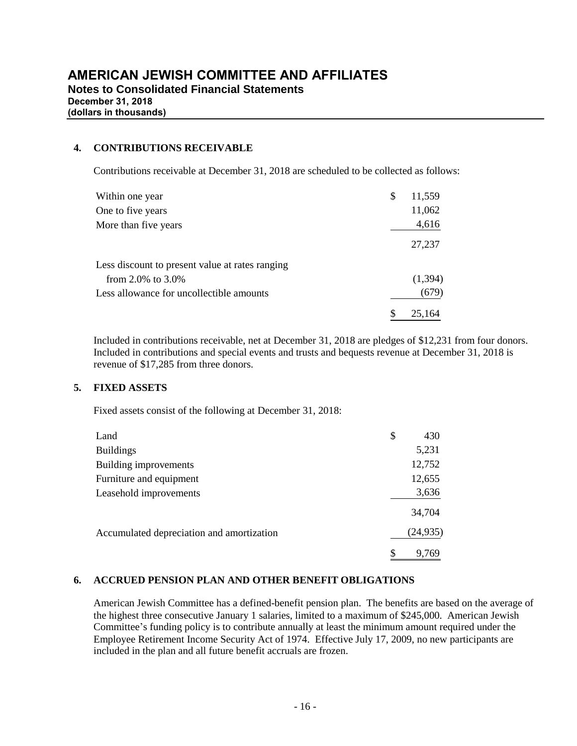# **4. CONTRIBUTIONS RECEIVABLE**

Contributions receivable at December 31, 2018 are scheduled to be collected as follows:

| Within one year                                 | \$ | 11,559  |
|-------------------------------------------------|----|---------|
| One to five years                               |    | 11,062  |
| More than five years                            |    | 4,616   |
|                                                 |    | 27,237  |
| Less discount to present value at rates ranging |    |         |
| from 2.0% to $3.0\%$                            |    | (1,394) |
| Less allowance for uncollectible amounts        |    | (679)   |
|                                                 | S  | 25,164  |

Included in contributions receivable, net at December 31, 2018 are pledges of \$12,231 from four donors. Included in contributions and special events and trusts and bequests revenue at December 31, 2018 is revenue of \$17,285 from three donors.

### **5. FIXED ASSETS**

Fixed assets consist of the following at December 31, 2018:

| Land                                      | \$<br>430   |
|-------------------------------------------|-------------|
| <b>Buildings</b>                          | 5,231       |
| <b>Building improvements</b>              | 12,752      |
| Furniture and equipment                   | 12,655      |
| Leasehold improvements                    | 3,636       |
|                                           | 34,704      |
| Accumulated depreciation and amortization | (24, 935)   |
|                                           | \$<br>9,769 |

### **6. ACCRUED PENSION PLAN AND OTHER BENEFIT OBLIGATIONS**

American Jewish Committee has a defined-benefit pension plan. The benefits are based on the average of the highest three consecutive January 1 salaries, limited to a maximum of \$245,000. American Jewish Committee's funding policy is to contribute annually at least the minimum amount required under the Employee Retirement Income Security Act of 1974. Effective July 17, 2009, no new participants are included in the plan and all future benefit accruals are frozen.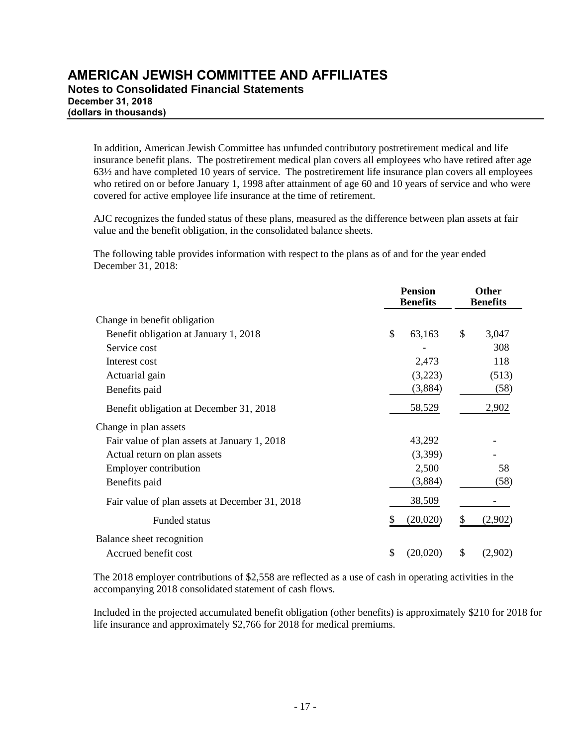In addition, American Jewish Committee has unfunded contributory postretirement medical and life insurance benefit plans. The postretirement medical plan covers all employees who have retired after age 63½ and have completed 10 years of service. The postretirement life insurance plan covers all employees who retired on or before January 1, 1998 after attainment of age 60 and 10 years of service and who were covered for active employee life insurance at the time of retirement.

AJC recognizes the funded status of these plans, measured as the difference between plan assets at fair value and the benefit obligation, in the consolidated balance sheets.

The following table provides information with respect to the plans as of and for the year ended December 31, 2018:

|                                                |    | <b>Pension</b><br><b>Benefits</b> | <b>Other</b><br><b>Benefits</b> |
|------------------------------------------------|----|-----------------------------------|---------------------------------|
| Change in benefit obligation                   |    |                                   |                                 |
| Benefit obligation at January 1, 2018          | \$ | 63,163                            | \$<br>3,047                     |
| Service cost                                   |    |                                   | 308                             |
| Interest cost                                  |    | 2,473                             | 118                             |
| Actuarial gain                                 |    | (3,223)                           | (513)                           |
| Benefits paid                                  |    | (3,884)                           | (58)                            |
| Benefit obligation at December 31, 2018        |    | 58,529                            | 2,902                           |
| Change in plan assets                          |    |                                   |                                 |
| Fair value of plan assets at January 1, 2018   |    | 43,292                            |                                 |
| Actual return on plan assets                   |    | (3,399)                           |                                 |
| <b>Employer contribution</b>                   |    | 2,500                             | 58                              |
| Benefits paid                                  |    | (3,884)                           | (58)                            |
| Fair value of plan assets at December 31, 2018 |    | 38,509                            |                                 |
| Funded status                                  | S  | (20,020)                          | \$<br>(2,902)                   |
| Balance sheet recognition                      |    |                                   |                                 |
| Accrued benefit cost                           | \$ | (20,020)                          | \$<br>(2,902)                   |

The 2018 employer contributions of \$2,558 are reflected as a use of cash in operating activities in the accompanying 2018 consolidated statement of cash flows.

Included in the projected accumulated benefit obligation (other benefits) is approximately \$210 for 2018 for life insurance and approximately \$2,766 for 2018 for medical premiums.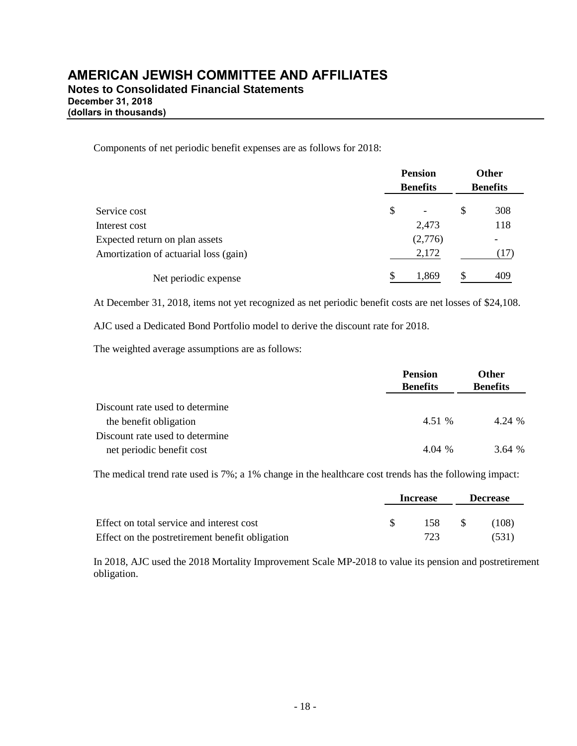Components of net periodic benefit expenses are as follows for 2018:

|                                       | <b>Pension</b><br><b>Benefits</b> | Other<br><b>Benefits</b> |    |      |  |
|---------------------------------------|-----------------------------------|--------------------------|----|------|--|
| Service cost                          | \$                                |                          | \$ | 308  |  |
| Interest cost                         |                                   | 2,473                    |    | 118  |  |
| Expected return on plan assets        |                                   | (2,776)                  |    |      |  |
| Amortization of actuarial loss (gain) |                                   | 2,172                    |    | (17) |  |
| Net periodic expense                  | \$                                | 1,869                    | \$ | 409  |  |

At December 31, 2018, items not yet recognized as net periodic benefit costs are net losses of \$24,108.

AJC used a Dedicated Bond Portfolio model to derive the discount rate for 2018.

The weighted average assumptions are as follows:

|                                 | <b>Pension</b><br><b>Benefits</b> | <b>Other</b><br><b>Benefits</b> |  |
|---------------------------------|-----------------------------------|---------------------------------|--|
| Discount rate used to determine |                                   |                                 |  |
| the benefit obligation          | 4.51 %                            | 4.24 %                          |  |
| Discount rate used to determine |                                   |                                 |  |
| net periodic benefit cost       | 4.04 %                            | 3.64 %                          |  |

The medical trend rate used is 7%; a 1% change in the healthcare cost trends has the following impact:

|                                                 | Increase |     | <b>Decrease</b> |       |
|-------------------------------------------------|----------|-----|-----------------|-------|
| Effect on total service and interest cost       |          | 158 | - \$            | (108) |
| Effect on the postretirement benefit obligation |          | 723 |                 | (531) |

In 2018, AJC used the 2018 Mortality Improvement Scale MP-2018 to value its pension and postretirement obligation.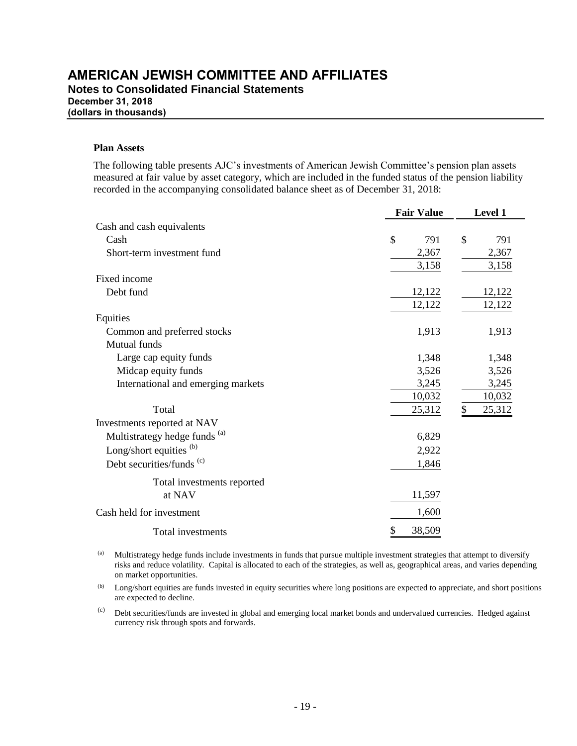### **Plan Assets**

The following table presents AJC's investments of American Jewish Committee's pension plan assets measured at fair value by asset category, which are included in the funded status of the pension liability recorded in the accompanying consolidated balance sheet as of December 31, 2018:

|                                          | <b>Fair Value</b> | Level 1      |
|------------------------------------------|-------------------|--------------|
| Cash and cash equivalents                |                   |              |
| Cash                                     | \$<br>791         | \$<br>791    |
| Short-term investment fund               | 2,367             | 2,367        |
|                                          | 3,158             | 3,158        |
| Fixed income                             |                   |              |
| Debt fund                                | 12,122            | 12,122       |
|                                          | 12,122            | 12,122       |
| Equities                                 |                   |              |
| Common and preferred stocks              | 1,913             | 1,913        |
| Mutual funds                             |                   |              |
| Large cap equity funds                   | 1,348             | 1,348        |
| Midcap equity funds                      | 3,526             | 3,526        |
| International and emerging markets       | 3,245             | 3,245        |
|                                          | 10,032            | 10,032       |
| Total                                    | 25,312            | \$<br>25,312 |
| Investments reported at NAV              |                   |              |
| Multistrategy hedge funds <sup>(a)</sup> | 6,829             |              |
| Long/short equities (b)                  | 2,922             |              |
| Debt securities/funds <sup>(c)</sup>     | 1,846             |              |
| Total investments reported               |                   |              |
| at NAV                                   | 11,597            |              |
| Cash held for investment                 | 1,600             |              |
| Total investments                        | \$<br>38,509      |              |

(a) Multistrategy hedge funds include investments in funds that pursue multiple investment strategies that attempt to diversify risks and reduce volatility. Capital is allocated to each of the strategies, as well as, geographical areas, and varies depending on market opportunities.

(b) Long/short equities are funds invested in equity securities where long positions are expected to appreciate, and short positions are expected to decline.

(c) Debt securities/funds are invested in global and emerging local market bonds and undervalued currencies. Hedged against currency risk through spots and forwards.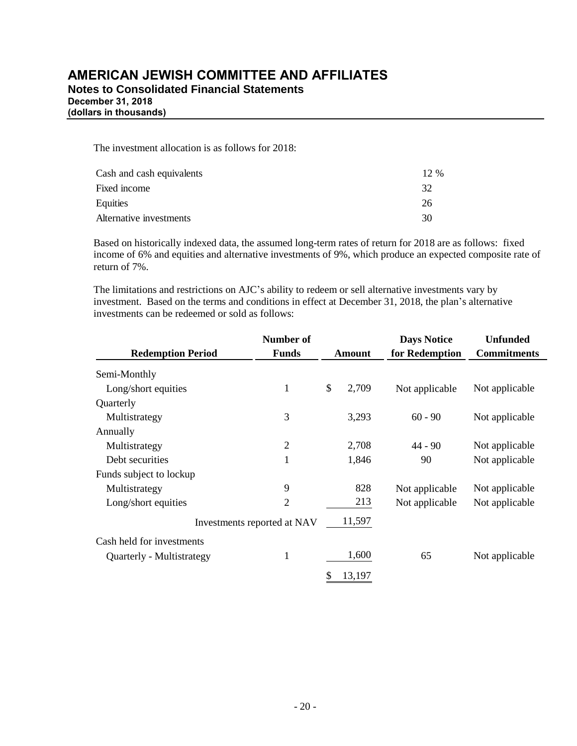# **AMERICAN JEWISH COMMITTEE AND AFFILIATES Notes to Consolidated Financial Statements December 31, 2018 (dollars in thousands)**

The investment allocation is as follows for 2018:

| Cash and cash equivalents | 12 % |
|---------------------------|------|
| Fixed income              | 32   |
| Equities                  | 26   |
| Alternative investments   | 30   |

Based on historically indexed data, the assumed long-term rates of return for 2018 are as follows: fixed income of 6% and equities and alternative investments of 9%, which produce an expected composite rate of return of 7%.

The limitations and restrictions on AJC's ability to redeem or sell alternative investments vary by investment. Based on the terms and conditions in effect at December 31, 2018, the plan's alternative investments can be redeemed or sold as follows:

|                           | Number of                   |               |        | <b>Days Notice</b> | <b>Unfunded</b>    |
|---------------------------|-----------------------------|---------------|--------|--------------------|--------------------|
| <b>Redemption Period</b>  | <b>Funds</b>                | <b>Amount</b> |        | for Redemption     | <b>Commitments</b> |
| Semi-Monthly              |                             |               |        |                    |                    |
| Long/short equities       | 1                           | \$            | 2,709  | Not applicable     | Not applicable     |
| Quarterly                 |                             |               |        |                    |                    |
| Multistrategy             | 3                           |               | 3,293  | $60 - 90$          | Not applicable     |
| Annually                  |                             |               |        |                    |                    |
| Multistrategy             | $\overline{2}$              |               | 2,708  | $44 - 90$          | Not applicable     |
| Debt securities           | $\mathbf{1}$                |               | 1,846  | 90                 | Not applicable     |
| Funds subject to lockup   |                             |               |        |                    |                    |
| Multistrategy             | 9                           |               | 828    | Not applicable     | Not applicable     |
| Long/short equities       | $\overline{2}$              |               | 213    | Not applicable     | Not applicable     |
|                           | Investments reported at NAV |               | 11,597 |                    |                    |
| Cash held for investments |                             |               |        |                    |                    |
| Quarterly - Multistrategy | 1                           |               | 1,600  | 65                 | Not applicable     |
|                           |                             | \$            | 13,197 |                    |                    |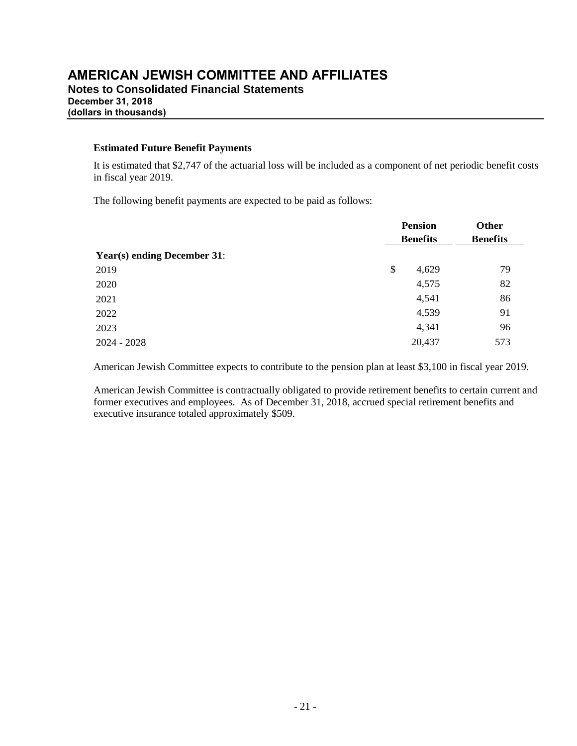#### **Estimated Future Benefit Payments**

It is estimated that \$2,747 of the actuarial loss will be included as a component of net periodic benefit costs in fiscal year 2019.

The following benefit payments are expected to be paid as follows:

|                                    | <b>Pension</b><br><b>Benefits</b> | Other<br><b>Benefits</b> |
|------------------------------------|-----------------------------------|--------------------------|
| <b>Year(s) ending December 31:</b> |                                   |                          |
| 2019                               | \$<br>4,629                       | 79                       |
| 2020                               | 4,575                             | 82                       |
| 2021                               | 4,541                             | 86                       |
| 2022                               | 4,539                             | 91                       |
| 2023                               | 4,341                             | 96                       |
| 2024 - 2028                        | 20,437                            | 573                      |

American Jewish Committee expects to contribute to the pension plan at least \$3,100 in fiscal year 2019.

American Jewish Committee is contractually obligated to provide retirement benefits to certain current and former executives and employees. As of December 31, 2018, accrued special retirement benefits and executive insurance totaled approximately \$509.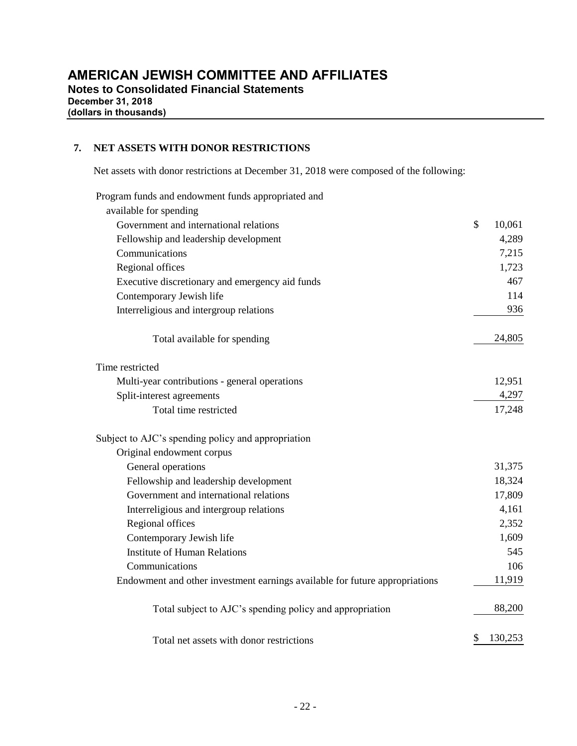# **7. NET ASSETS WITH DONOR RESTRICTIONS**

Net assets with donor restrictions at December 31, 2018 were composed of the following:

| Program funds and endowment funds appropriated and                          |               |
|-----------------------------------------------------------------------------|---------------|
| available for spending                                                      |               |
| Government and international relations                                      | \$<br>10,061  |
| Fellowship and leadership development                                       | 4,289         |
| Communications                                                              | 7,215         |
| Regional offices                                                            | 1,723         |
| Executive discretionary and emergency aid funds                             | 467           |
| Contemporary Jewish life                                                    | 114           |
| Interreligious and intergroup relations                                     | 936           |
| Total available for spending                                                | 24,805        |
| Time restricted                                                             |               |
| Multi-year contributions - general operations                               | 12,951        |
| Split-interest agreements                                                   | 4,297         |
| Total time restricted                                                       | 17,248        |
| Subject to AJC's spending policy and appropriation                          |               |
| Original endowment corpus                                                   |               |
| General operations                                                          | 31,375        |
| Fellowship and leadership development                                       | 18,324        |
| Government and international relations                                      | 17,809        |
| Interreligious and intergroup relations                                     | 4,161         |
| Regional offices                                                            | 2,352         |
| Contemporary Jewish life                                                    | 1,609         |
| <b>Institute of Human Relations</b>                                         | 545           |
| Communications                                                              | 106           |
| Endowment and other investment earnings available for future appropriations | 11,919        |
| Total subject to AJC's spending policy and appropriation                    | 88,200        |
| Total net assets with donor restrictions                                    | \$<br>130,253 |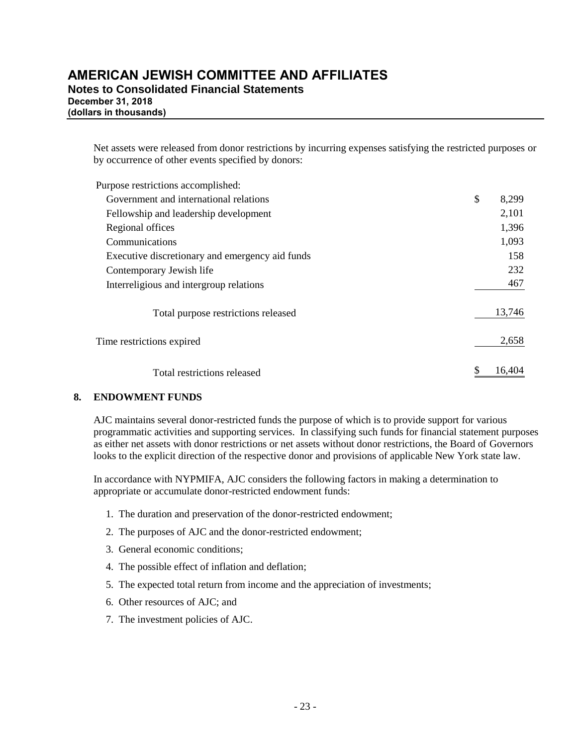Net assets were released from donor restrictions by incurring expenses satisfying the restricted purposes or by occurrence of other events specified by donors:

| Purpose restrictions accomplished:              |              |
|-------------------------------------------------|--------------|
| Government and international relations          | \$<br>8,299  |
| Fellowship and leadership development           | 2,101        |
| Regional offices                                | 1,396        |
| Communications                                  | 1,093        |
| Executive discretionary and emergency aid funds | 158          |
| Contemporary Jewish life                        | 232          |
| Interreligious and intergroup relations         | 467          |
| Total purpose restrictions released             | 13,746       |
| Time restrictions expired                       | 2,658        |
| Total restrictions released                     | \$<br>16.404 |

### **8. ENDOWMENT FUNDS**

AJC maintains several donor-restricted funds the purpose of which is to provide support for various programmatic activities and supporting services. In classifying such funds for financial statement purposes as either net assets with donor restrictions or net assets without donor restrictions, the Board of Governors looks to the explicit direction of the respective donor and provisions of applicable New York state law.

In accordance with NYPMIFA, AJC considers the following factors in making a determination to appropriate or accumulate donor-restricted endowment funds:

- 1. The duration and preservation of the donor-restricted endowment;
- 2. The purposes of AJC and the donor-restricted endowment;
- 3. General economic conditions;
- 4. The possible effect of inflation and deflation;
- 5. The expected total return from income and the appreciation of investments;
- 6. Other resources of AJC; and
- 7. The investment policies of AJC.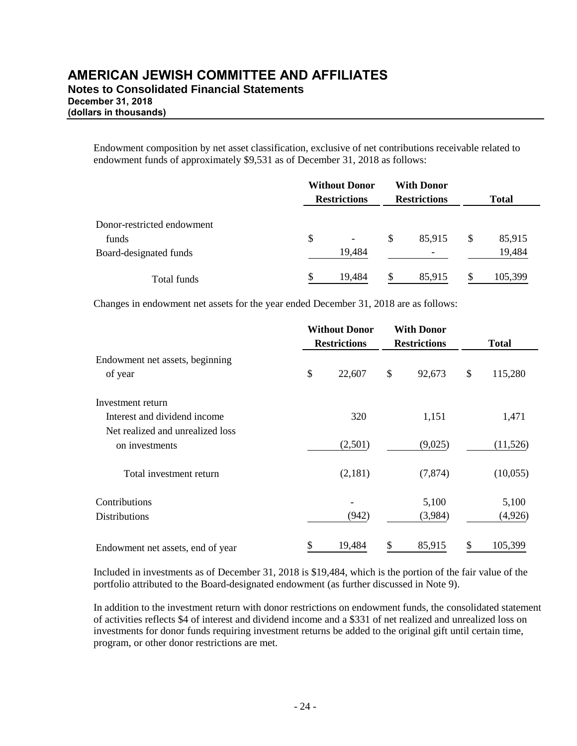Endowment composition by net asset classification, exclusive of net contributions receivable related to endowment funds of approximately \$9,531 as of December 31, 2018 as follows:

|                            | <b>Without Donor</b><br><b>Restrictions</b> | <b>With Donor</b><br><b>Restrictions</b> | <b>Total</b> |
|----------------------------|---------------------------------------------|------------------------------------------|--------------|
| Donor-restricted endowment |                                             |                                          |              |
| funds                      | \$<br>$\overline{\phantom{a}}$              | S<br>85,915                              | 85,915<br>\$ |
| Board-designated funds     | 19,484                                      | $\overline{\phantom{0}}$                 | 19,484       |
| Total funds                | \$<br>19,484                                | 85,915                                   | 105,399      |

Changes in endowment net assets for the year ended December 31, 2018 are as follows:

|                                   | <b>Without Donor</b><br><b>Restrictions</b> | With Donor<br><b>Restrictions</b> |         | <b>Total</b> |          |
|-----------------------------------|---------------------------------------------|-----------------------------------|---------|--------------|----------|
| Endowment net assets, beginning   |                                             |                                   |         |              |          |
| of year                           | \$<br>22,607                                | \$                                | 92,673  | \$           | 115,280  |
| Investment return                 |                                             |                                   |         |              |          |
| Interest and dividend income      | 320                                         |                                   | 1,151   |              | 1,471    |
| Net realized and unrealized loss  |                                             |                                   |         |              |          |
| on investments                    | (2,501)                                     |                                   | (9,025) |              | (11,526) |
| Total investment return           | (2,181)                                     |                                   | (7,874) |              | (10,055) |
| Contributions                     |                                             |                                   | 5,100   |              | 5,100    |
| <b>Distributions</b>              | (942)                                       |                                   | (3,984) |              | (4,926)  |
| Endowment net assets, end of year | \$<br>19,484                                | \$                                | 85,915  | S            | 105,399  |

Included in investments as of December 31, 2018 is \$19,484, which is the portion of the fair value of the portfolio attributed to the Board-designated endowment (as further discussed in Note 9).

In addition to the investment return with donor restrictions on endowment funds, the consolidated statement of activities reflects \$4 of interest and dividend income and a \$331 of net realized and unrealized loss on investments for donor funds requiring investment returns be added to the original gift until certain time, program, or other donor restrictions are met.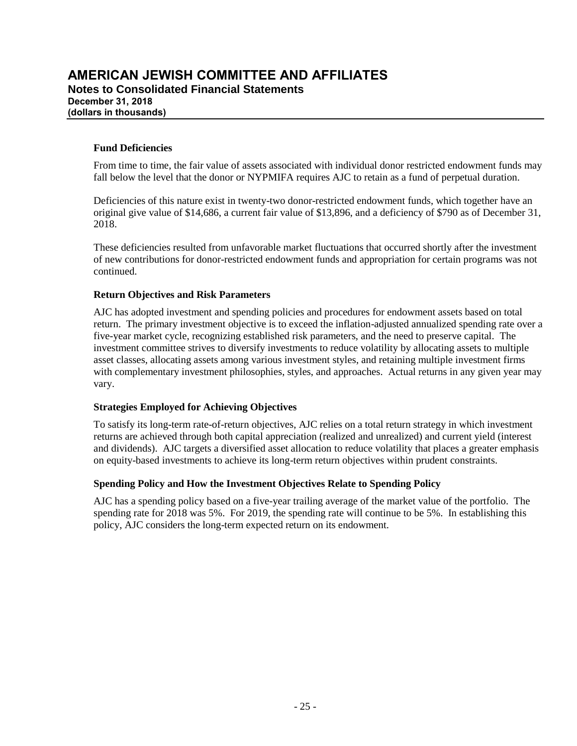# **Fund Deficiencies**

From time to time, the fair value of assets associated with individual donor restricted endowment funds may fall below the level that the donor or NYPMIFA requires AJC to retain as a fund of perpetual duration.

Deficiencies of this nature exist in twenty-two donor-restricted endowment funds, which together have an original give value of \$14,686, a current fair value of \$13,896, and a deficiency of \$790 as of December 31, 2018.

These deficiencies resulted from unfavorable market fluctuations that occurred shortly after the investment of new contributions for donor-restricted endowment funds and appropriation for certain programs was not continued.

### **Return Objectives and Risk Parameters**

AJC has adopted investment and spending policies and procedures for endowment assets based on total return. The primary investment objective is to exceed the inflation-adjusted annualized spending rate over a five-year market cycle, recognizing established risk parameters, and the need to preserve capital. The investment committee strives to diversify investments to reduce volatility by allocating assets to multiple asset classes, allocating assets among various investment styles, and retaining multiple investment firms with complementary investment philosophies, styles, and approaches. Actual returns in any given year may vary.

### **Strategies Employed for Achieving Objectives**

To satisfy its long-term rate-of-return objectives, AJC relies on a total return strategy in which investment returns are achieved through both capital appreciation (realized and unrealized) and current yield (interest and dividends). AJC targets a diversified asset allocation to reduce volatility that places a greater emphasis on equity-based investments to achieve its long-term return objectives within prudent constraints.

### **Spending Policy and How the Investment Objectives Relate to Spending Policy**

AJC has a spending policy based on a five-year trailing average of the market value of the portfolio. The spending rate for 2018 was 5%. For 2019, the spending rate will continue to be 5%. In establishing this policy, AJC considers the long-term expected return on its endowment.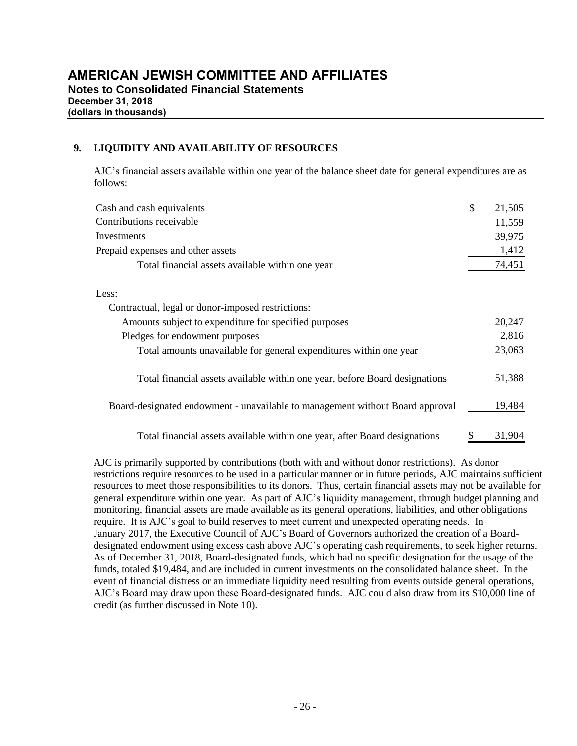# **9. LIQUIDITY AND AVAILABILITY OF RESOURCES**

AJC's financial assets available within one year of the balance sheet date for general expenditures are as follows:

| Cash and cash equivalents                                                     | \$<br>21,505 |
|-------------------------------------------------------------------------------|--------------|
| Contributions receivable                                                      | 11,559       |
| Investments                                                                   | 39,975       |
| Prepaid expenses and other assets                                             | 1,412        |
| Total financial assets available within one year                              | 74,451       |
| Less:                                                                         |              |
| Contractual, legal or donor-imposed restrictions:                             |              |
| Amounts subject to expenditure for specified purposes                         | 20,247       |
| Pledges for endowment purposes                                                | 2,816        |
| Total amounts unavailable for general expenditures within one year            | 23,063       |
| Total financial assets available within one year, before Board designations   | 51,388       |
| Board-designated endowment - unavailable to management without Board approval | 19,484       |
| Total financial assets available within one year, after Board designations    | 31,904       |

AJC is primarily supported by contributions (both with and without donor restrictions). As donor restrictions require resources to be used in a particular manner or in future periods, AJC maintains sufficient resources to meet those responsibilities to its donors. Thus, certain financial assets may not be available for general expenditure within one year. As part of AJC's liquidity management, through budget planning and monitoring, financial assets are made available as its general operations, liabilities, and other obligations require. It is AJC's goal to build reserves to meet current and unexpected operating needs. In January 2017, the Executive Council of AJC's Board of Governors authorized the creation of a Boarddesignated endowment using excess cash above AJC's operating cash requirements, to seek higher returns. As of December 31, 2018, Board-designated funds, which had no specific designation for the usage of the funds, totaled \$19,484, and are included in current investments on the consolidated balance sheet. In the event of financial distress or an immediate liquidity need resulting from events outside general operations, AJC's Board may draw upon these Board-designated funds. AJC could also draw from its \$10,000 line of credit (as further discussed in Note 10).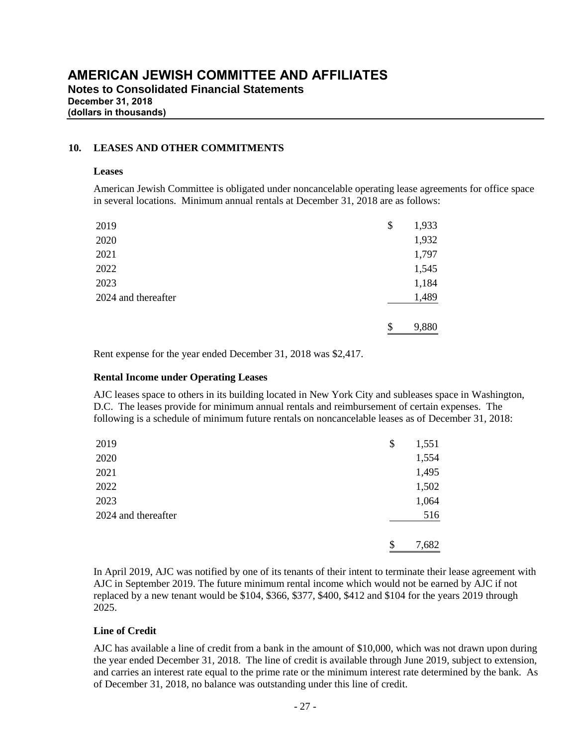# **10. LEASES AND OTHER COMMITMENTS**

#### **Leases**

American Jewish Committee is obligated under noncancelable operating lease agreements for office space in several locations. Minimum annual rentals at December 31, 2018 are as follows:

| 2019                | \$<br>1,933 |
|---------------------|-------------|
| 2020                | 1,932       |
| 2021                | 1,797       |
| 2022                | 1,545       |
| 2023                | 1,184       |
| 2024 and thereafter | 1,489       |
|                     | \$<br>9,880 |

Rent expense for the year ended December 31, 2018 was \$2,417.

#### **Rental Income under Operating Leases**

AJC leases space to others in its building located in New York City and subleases space in Washington, D.C. The leases provide for minimum annual rentals and reimbursement of certain expenses. The following is a schedule of minimum future rentals on noncancelable leases as of December 31, 2018:

| 2019                | \$<br>1,551 |
|---------------------|-------------|
| 2020                | 1,554       |
| 2021                | 1,495       |
| 2022                | 1,502       |
| 2023                | 1,064       |
| 2024 and thereafter | 516         |
|                     | \$<br>7,682 |

In April 2019, AJC was notified by one of its tenants of their intent to terminate their lease agreement with AJC in September 2019. The future minimum rental income which would not be earned by AJC if not replaced by a new tenant would be \$104, \$366, \$377, \$400, \$412 and \$104 for the years 2019 through 2025.

### **Line of Credit**

AJC has available a line of credit from a bank in the amount of \$10,000, which was not drawn upon during the year ended December 31, 2018. The line of credit is available through June 2019, subject to extension, and carries an interest rate equal to the prime rate or the minimum interest rate determined by the bank. As of December 31, 2018, no balance was outstanding under this line of credit.